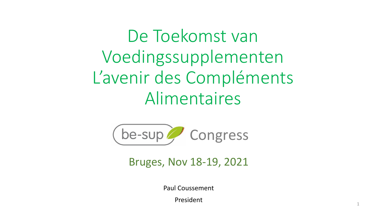De Toekomst van Voedingssupplementen L'avenir des Compléments Alimentaires



Bruges, Nov 18-19, 2021

Paul Coussement

President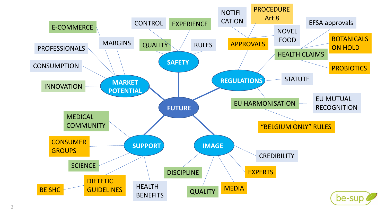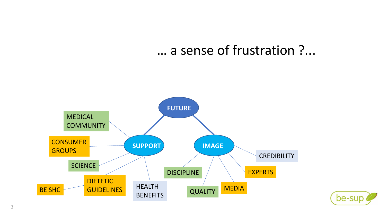## … a sense of frustration ?...



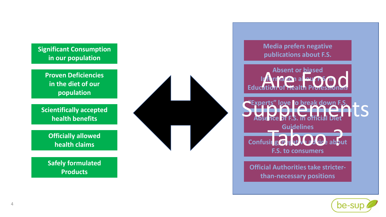

**Proven Deficiencies in the diet of our population**

**Scientifically accepted health benefits**

> **Officially allowed health claims**

**Safely formulated Products**





**Absent or biased Information about F.S. in Education of Health Professionals** 

**love to break down Absence of F.S. in official Diet Guidelines Confusing/negative advice about F.S. to consumers** Supplements" love to break down F.S. Guidelines<br>Sirg **O** Part Calvice abou

**Official Authorities take stricterthan-necessary positions**

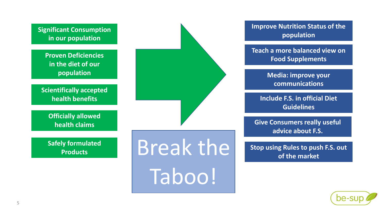

**Improve Nutrition Status of the population**

**Teach a more balanced view on Food Supplements**

> **Media: improve your communications**

**Include F.S. in official Diet Guidelines**

**Give Consumers really useful advice about F.S.**

**Stop using Rules to push F.S. out of the market**